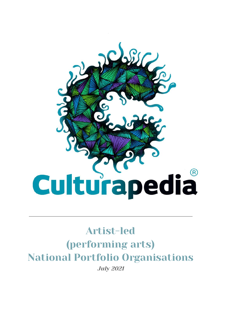

# Artist-led (performing arts) National Portfolio Organisations July 2021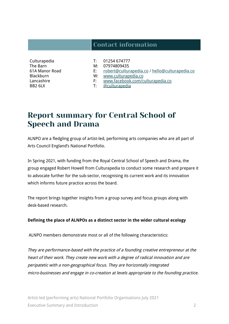# Contact information

Culturapedia The Barn 61A Manor Road **Blackburn** Lancashire BB2 6LX

- T: 01254 674777
- M: 07974809435
- E: [robert@culturapedia.co](mailto:robert@culturapedia.co) / [hello@culturapedia.co](mailto:hello@culturapedia.co)
- W: [www.culturapedia.co](http://www.culturapedia.co)
- F: [www.facebook.com/culturapedia.co](http://www.facebook.com/culturapedia.co)
- T: [@culturapedia](https://twitter.com/culturapedia?lang=en)

# Report summary for Central School of Speech and Drama

ALNPO are a fledgling group of artist-led, performing arts companies who are all part of Arts Council England's National Portfolio.

In Spring 2021, with funding from the Royal Central School of Speech and Drama, the group engaged Robert Howell from Culturapedia to conduct some research and prepare it to advocate further for the sub-sector, recognising its current work and its innovation which informs future practice across the board.

The report brings together insights from a group survey and focus groups along with desk-based research.

#### **Defining the place of ALNPOs as a distinct sector in the wider cultural ecology**

ALNPO members demonstrate most or all of the following characteristics:

They are performance-based with the practice of <sup>a</sup> founding creative entrepreneur at the heart of their work. They create new work with <sup>a</sup> degree of radical innovation and are peripatetic with <sup>a</sup> non-geographical focus. They are horizontally integrated micro-businesses and engage in co-creation at levels appropriate to the founding practice.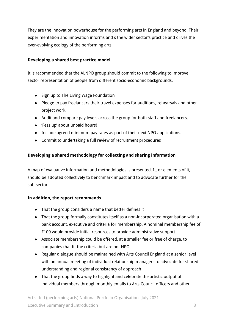They are the innovation powerhouse for the performing arts in England and beyond. Their experimentation and innovation informs and s the wider sector's practice and drives the ever-evolving ecology of the performing arts.

## **Developing a shared best practice model**

It is recommended that the ALNPO group should commit to the following to improve sector representation of people from different socio-economic backgrounds.

- Sign up to The Living Wage Foundation
- Pledge to pay freelancers their travel expenses for auditions, rehearsals and other project work.
- Audit and compare pay levels across the group for both staff and freelancers.
- 'Fess up' about unpaid hours!
- Include agreed minimum pay rates as part of their next NPO applications.
- Commit to undertaking a full review of recruitment procedures

## **Developing a shared methodology for collecting and sharing information**

A map of evaluative information and methodologies is presented. It, or elements of it, should be adopted collectively to benchmark impact and to advocate further for the sub-sector.

## **In addition, the report recommends**

- That the group considers a name that better defines it
- That the group formally constitutes itself as a non-incorporated organisation with a bank account, executive and criteria for membership. A nominal membership fee of £100 would provide initial resources to provide administrative support
- Associate membership could be offered, at a smaller fee or free of charge, to companies that fit the criteria but are not NPOs.
- Regular dialogue should be maintained with Arts Council England at a senior level with an annual meeting of individual relationship managers to advocate for shared understanding and regional consistency of approach
- That the group finds a way to highlight and celebrate the artistic output of individual members through monthly emails to Arts Council officers and other